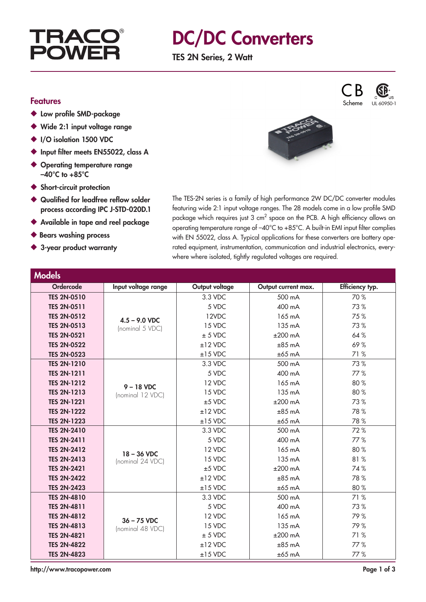### **TRACO POWE**

### DC/DC Converters

TES 2N Series, 2 Watt

#### Features

- ◆ Low profile SMD-package
- ◆ Wide 2:1 input voltage range
- ◆ I/O isolation 1500 VDC
- ◆ Input filter meets EN55022, class A
- ◆ Operating temperature range  $-40^{\circ}$ C to  $+85^{\circ}$ C
- ◆ Short-circuit protection
- ◆ Qualified for leadfree reflow solder process according IPC J-STD-020D.1
- ◆ Available in tape and reel package
- **Bears washing process**
- ◆ 3-year product warranty

The TES-2N series is a family of high performance 2W DC/DC converter modules featuring wide 2:1 input voltage ranges. The 28 models come in a low profile SMD package which requires just  $3 \text{ cm}^2$  space on the PCB. A high efficiency allows an operating temperature range of –40°C to +85°C. A built-in EMI input filter complies with EN 55022, class A. Typical applications for these converters are battery operated equipment, instrumentation, communication and industrial electronics, everywhere where isolated, tightly regulated voltages are required.

| <b>Models</b>      |                                    |                |                     |                 |
|--------------------|------------------------------------|----------------|---------------------|-----------------|
| <b>Ordercode</b>   | Input voltage range                | Output voltage | Output current max. | Efficiency typ. |
| <b>TES 2N-0510</b> |                                    | 3.3 VDC        | 500 mA              | 70%             |
| <b>TES 2N-0511</b> |                                    | 5 VDC          | 400 mA              | 73%             |
| <b>TES 2N-0512</b> | $4.5 - 9.0$ VDC<br>(nominal 5 VDC) | 12VDC          | 165 mA              | 75%             |
| <b>TES 2N-0513</b> |                                    | 15 VDC         | 135 mA              | 73%             |
| <b>TES 2N-0521</b> |                                    | $± 5$ VDC      | $±200$ mA           | 64%             |
| <b>TES 2N-0522</b> |                                    | $±12$ VDC      | $±85$ mA            | 69%             |
| <b>TES 2N-0523</b> |                                    | $±15$ VDC      | $±65$ mA            | 71%             |
| <b>TES 2N-1210</b> |                                    | 3.3 VDC        | 500 mA              | 73%             |
| <b>TES 2N-1211</b> |                                    | 5 VDC          | 400 mA              | 77%             |
| <b>TES 2N-1212</b> | $9 - 18$ VDC                       | 12 VDC         | 165 mA              | 80%             |
| <b>TES 2N-1213</b> | (nominal 12 VDC)                   | 15 VDC         | 135 mA              | 80%             |
| <b>TES 2N-1221</b> |                                    | $±5$ VDC       | $±200$ mA           | 73%             |
| <b>TES 2N-1222</b> |                                    | $±12$ VDC      | $±85$ mA            | 78%             |
| <b>TES 2N-1223</b> |                                    | $±15$ VDC      | $±65$ mA            | 78%             |
| <b>TES 2N-2410</b> | 18 - 36 VDC<br>(nominal 24 VDC)    | 3.3 VDC        | 500 mA              | 72%             |
| <b>TES 2N-2411</b> |                                    | 5 VDC          | 400 mA              | 77%             |
| <b>TES 2N-2412</b> |                                    | 12 VDC         | 165 mA              | 80%             |
| <b>TES 2N-2413</b> |                                    | 15 VDC         | 135 mA              | 81%             |
| <b>TES 2N-2421</b> |                                    | $±5$ VDC       | $±200$ mA           | 74%             |
| <b>TES 2N-2422</b> |                                    | $±12$ VDC      | $±85$ mA            | 78%             |
| <b>TES 2N-2423</b> |                                    | $±15$ VDC      | $±65$ mA            | 80%             |
| <b>TES 2N-4810</b> |                                    | 3.3 VDC        | 500 mA              | 71%             |
| <b>TES 2N-4811</b> |                                    | 5 VDC          | 400 mA              | 73%             |
| <b>TES 2N-4812</b> | $36 - 75$ VDC                      | 12 VDC         | 165 mA              | 79%             |
| <b>TES 2N-4813</b> | (nominal 48 VDC)                   | 15 VDC         | 135 mA              | 79%             |
| <b>TES 2N-4821</b> |                                    | $± 5$ VDC      | $±200$ mA           | 71%             |
| <b>TES 2N-4822</b> |                                    | $±12$ VDC      | $±85$ mA            | 77%             |
| <b>TES 2N-4823</b> |                                    | $±15$ VDC      | $±65$ mA            | 77%             |

http://www.tracopower.com Page 1 of 3

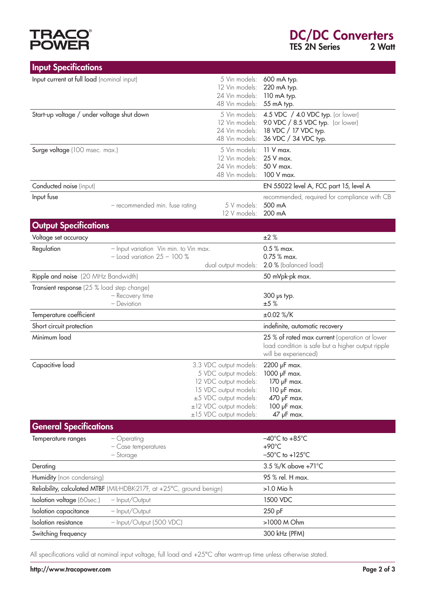# **TRACO®**<br>POWER

| <b>Input Specifications</b>                                                                                       |                                                                           |                                                                                                                                                                               |                                                                                                                            |
|-------------------------------------------------------------------------------------------------------------------|---------------------------------------------------------------------------|-------------------------------------------------------------------------------------------------------------------------------------------------------------------------------|----------------------------------------------------------------------------------------------------------------------------|
| Input current at full load (nominal input)                                                                        |                                                                           | 5 Vin models:<br>12 Vin models:<br>24 Vin models:<br>48 Vin models:                                                                                                           | 600 mA typ.<br>220 mA typ.<br>110 mA typ.<br>55 mA typ.                                                                    |
| 5 Vin models:<br>Start-up voltage / under voltage shut down<br>12 Vin models:<br>24 Vin models:<br>48 Vin models: |                                                                           |                                                                                                                                                                               | 4.5 VDC / 4.0 VDC typ. (or lower)<br>9.0 VDC / 8.5 VDC typ. (or lower)<br>18 VDC / 17 VDC typ.<br>36 VDC / 34 VDC typ.     |
| 5 Vin models:<br>Surge voltage (100 msec. max.)<br>12 Vin models:<br>24 Vin models:<br>48 Vin models:             |                                                                           |                                                                                                                                                                               | $11 V$ max.<br>25 V max.<br>50 V max.<br>100 V max.                                                                        |
| Conducted noise (input)                                                                                           |                                                                           |                                                                                                                                                                               | EN 55022 level A, FCC part 15, level A                                                                                     |
| Input fuse                                                                                                        | - recommended min. fuse rating                                            | 5 V models:<br>12 V models:                                                                                                                                                   | recommended, required for compliance with CB<br>500 mA<br>200 mA                                                           |
| <b>Output Specifications</b>                                                                                      |                                                                           |                                                                                                                                                                               |                                                                                                                            |
| Voltage set accuracy                                                                                              |                                                                           |                                                                                                                                                                               | ±2%                                                                                                                        |
| Regulation                                                                                                        | - Input variation Vin min. to Vin max.<br>$-$ Load variation $25 - 100\%$ | dual output models:                                                                                                                                                           | $0.5\%$ max.<br>0.75 % max.<br>2.0 % (balanced load)                                                                       |
| Ripple and noise (20 MHz Bandwidth)                                                                               |                                                                           |                                                                                                                                                                               | 50 mVpk-pk max.                                                                                                            |
| Transient response (25 % load step change)                                                                        |                                                                           |                                                                                                                                                                               |                                                                                                                            |
|                                                                                                                   | - Recovery time<br>- Deviation                                            |                                                                                                                                                                               | 300 ps typ.<br>±5%                                                                                                         |
| Temperature coefficient                                                                                           |                                                                           |                                                                                                                                                                               | $\pm 0.02$ %/K                                                                                                             |
| Short circuit protection                                                                                          |                                                                           |                                                                                                                                                                               | indefinite, automatic recovery                                                                                             |
| Minimum load                                                                                                      |                                                                           |                                                                                                                                                                               | 25 % of rated max current (operation at lower<br>load condition is safe but a higher output ripple<br>will be experienced) |
| Capacitive load                                                                                                   |                                                                           | 3.3 VDC output models:<br>5 VDC output models:<br>12 VDC output models:<br>15 VDC output models:<br>±5 VDC output models:<br>±12 VDC output models:<br>±15 VDC output models: | 2200 µF max.<br>1000 µF max.<br>$170$ $\mu$ F max.<br>110 µF max.<br>470 µF max.<br>100 µF max.<br>$47$ µF max.            |
| <b>General Specifications</b>                                                                                     |                                                                           |                                                                                                                                                                               |                                                                                                                            |
| Temperature ranges                                                                                                | - Operating<br>- Case temperatures<br>- Storage                           |                                                                                                                                                                               | $-40^{\circ}$ C to $+85^{\circ}$ C<br>$+90^{\circ}$ C<br>$-50^{\circ}$ C to +125 $^{\circ}$ C                              |
| Derating                                                                                                          |                                                                           |                                                                                                                                                                               | 3.5 %/K above +71°C                                                                                                        |
| Humidity (non condensing)                                                                                         |                                                                           |                                                                                                                                                                               | 95 % rel. H max.                                                                                                           |
|                                                                                                                   | Reliability, calculated MTBF (MIL-HDBK-217F, at +25°C, ground benign)     |                                                                                                                                                                               | >1.0 Mio h                                                                                                                 |
| Isolation voltage (60sec.)                                                                                        | - Input/Output                                                            |                                                                                                                                                                               | 1500 VDC                                                                                                                   |
| Isolation capacitance                                                                                             | - Input/Output                                                            |                                                                                                                                                                               | 250 pF                                                                                                                     |
| Isolation resistance                                                                                              | - Input/Output (500 VDC)                                                  |                                                                                                                                                                               | >1000 M Ohm                                                                                                                |
| Switching frequency                                                                                               |                                                                           |                                                                                                                                                                               | 300 kHz (PFM)                                                                                                              |

All specifications valid at nominal input voltage, full load and +25°C after warm-up time unless otherwise stated.